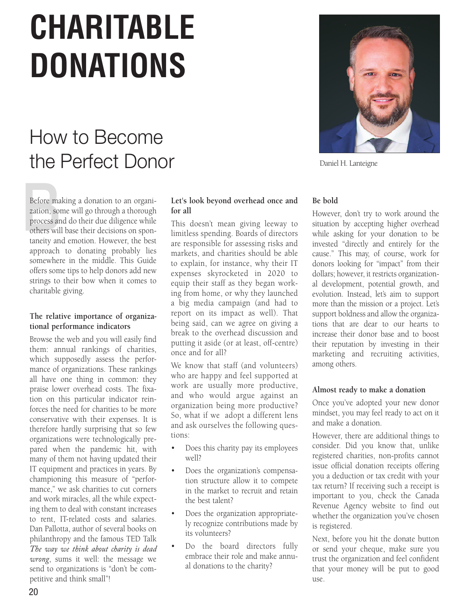# **CHARITABLE DONATIONS**

## How to Become the Perfect Donor



Daniel H. Lanteigne

Before ma<br>zation, son<br>process are<br>others wil Before making a donation to an organization, some will go through a thorough process and do their due diligence while others will base their decisions on spontaneity and emotion. However, the best approach to donating probably lies somewhere in the middle. This Guide offers some tips to help donors add new strings to their bow when it comes to charitable giving.

#### **The relative importance of organizational performance indicators**

Browse the web and you will easily find them: annual rankings of charities, which supposedly assess the performance of organizations. These rankings all have one thing in common: they praise lower overhead costs. The fixation on this particular indicator reinforces the need for charities to be more conservative with their expenses. It is therefore hardly surprising that so few organizations were technologically prepared when the pandemic hit, with many of them not having updated their IT equipment and practices in years. By championing this measure of "performance," we ask charities to cut corners and work miracles, all the while expecting them to deal with constant increases to rent, IT-related costs and salaries. Dan Pallotta, author of several books on philanthropy and the famous TED Talk *The way we think about charity is dead wrong*, sums it well: the message we send to organizations is "don't be competitive and think small"!

### **Let's look beyond overhead once and for all**

This doesn't mean giving leeway to limitless spending. Boards of directors are responsible for assessing risks and markets, and charities should be able to explain, for instance, why their IT expenses skyrocketed in 2020 to equip their staff as they began working from home, or why they launched a big media campaign (and had to report on its impact as well). That being said, can we agree on giving a break to the overhead discussion and putting it aside (or at least, off-centre) once and for all?

We know that staff (and volunteers) who are happy and feel supported at work are usually more productive, and who would argue against an organization being more productive? So, what if we adopt a different lens and ask ourselves the following questions:

- Does this charity pay its employees well?
- Does the organization's compensation structure allow it to compete in the market to recruit and retain the best talent?
- Does the organization appropriately recognize contributions made by its volunteers?
- Do the board directors fully embrace their role and make annual donations to the charity?

#### **Be bold**

However, don't try to work around the situation by accepting higher overhead while asking for your donation to be invested "directly and entirely for the cause." This may, of course, work for donors looking for "impact" from their dollars; however, it restricts organizational development, potential growth, and evolution. Instead, let's aim to support more than the mission or a project. Let's support boldness and allow the organizations that are dear to our hearts to increase their donor base and to boost their reputation by investing in their marketing and recruiting activities, among others.

#### **Almost ready to make a donation**

Once you've adopted your new donor mindset, you may feel ready to act on it and make a donation.

However, there are additional things to consider. Did you know that, unlike registered charities, non-profits cannot issue official donation receipts offering you a deduction or tax credit with your tax return? If receiving such a receipt is important to you, check the Canada Revenue Agency website to find out whether the organization you've chosen is registered.

Next, before you hit the donate button or send your cheque, make sure you trust the organization and feel confident that your money will be put to good  $11SP$